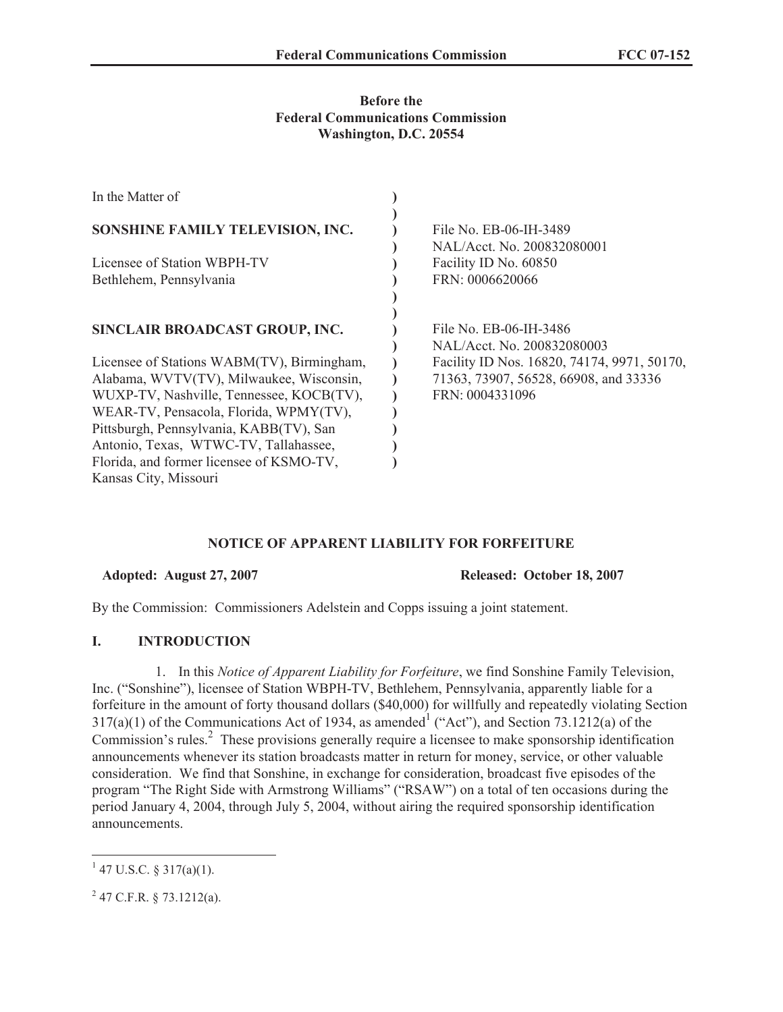# **Before the Federal Communications Commission Washington, D.C. 20554**

| In the Matter of                           |                                             |
|--------------------------------------------|---------------------------------------------|
|                                            |                                             |
| SONSHINE FAMILY TELEVISION, INC.           | File No. EB-06-IH-3489                      |
|                                            | NAL/Acct. No. 200832080001                  |
| Licensee of Station WBPH-TV                | Facility ID No. 60850                       |
| Bethlehem, Pennsylvania                    | FRN: 0006620066                             |
|                                            |                                             |
|                                            |                                             |
| SINCLAIR BROADCAST GROUP, INC.             | File No. EB-06-IH-3486                      |
|                                            | NAL/Acct. No. 200832080003                  |
| Licensee of Stations WABM(TV), Birmingham, | Facility ID Nos. 16820, 74174, 9971, 50170, |
| Alabama, WVTV(TV), Milwaukee, Wisconsin,   | 71363, 73907, 56528, 66908, and 33336       |
| WUXP-TV, Nashville, Tennessee, KOCB(TV),   | FRN: 0004331096                             |
| WEAR-TV, Pensacola, Florida, WPMY(TV),     |                                             |
| Pittsburgh, Pennsylvania, KABB(TV), San    |                                             |
| Antonio, Texas, WTWC-TV, Tallahassee,      |                                             |
| Florida, and former licensee of KSMO-TV,   |                                             |
| Kansas City, Missouri                      |                                             |

# **NOTICE OF APPARENT LIABILITY FOR FORFEITURE**

**Adopted: August 27, 2007 Released: October 18, 2007**

By the Commission: Commissioners Adelstein and Copps issuing a joint statement.

# **I. INTRODUCTION**

1. In this *Notice of Apparent Liability for Forfeiture*, we find Sonshine Family Television, Inc. ("Sonshine"), licensee of Station WBPH-TV, Bethlehem, Pennsylvania, apparently liable for a forfeiture in the amount of forty thousand dollars (\$40,000) for willfully and repeatedly violating Section  $317(a)(1)$  of the Communications Act of 1934, as amended  $($ "Act"), and Section 73.1212(a) of the Commission's rules.<sup>2</sup> These provisions generally require a licensee to make sponsorship identification announcements whenever its station broadcasts matter in return for money, service, or other valuable consideration. We find that Sonshine, in exchange for consideration, broadcast five episodes of the program "The Right Side with Armstrong Williams" ("RSAW") on a total of ten occasions during the period January 4, 2004, through July 5, 2004, without airing the required sponsorship identification announcements.

 $1$  47 U.S.C. § 317(a)(1).

 $2$  47 C.F.R. § 73.1212(a).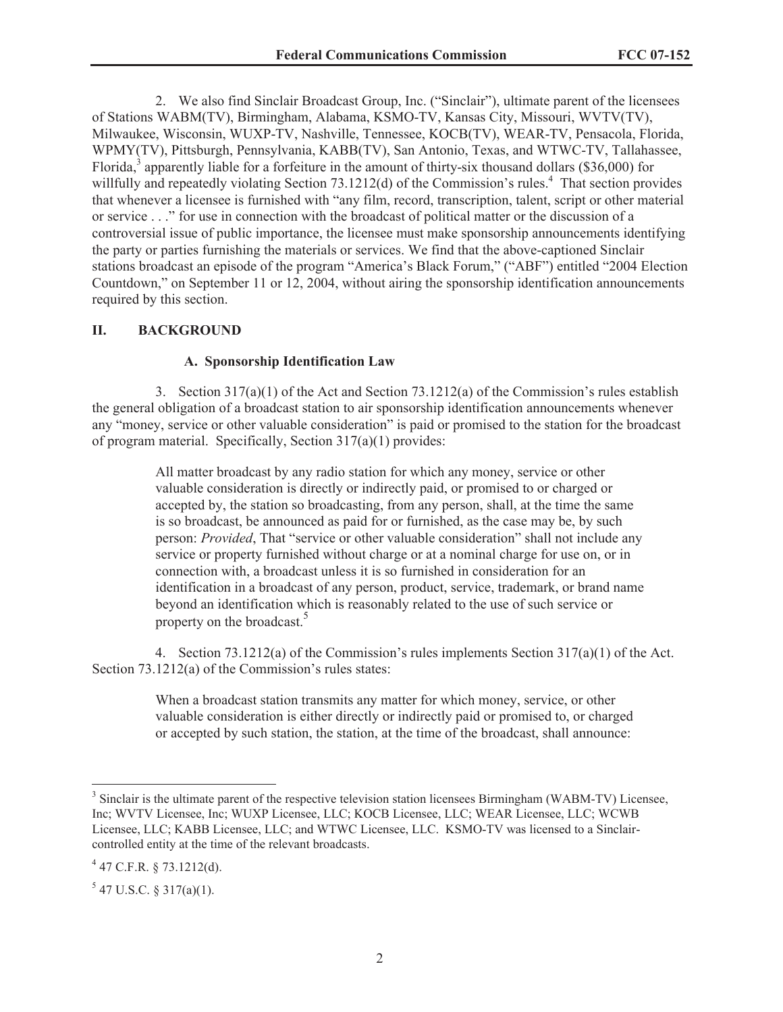2. We also find Sinclair Broadcast Group, Inc. ("Sinclair"), ultimate parent of the licensees of Stations WABM(TV), Birmingham, Alabama, KSMO-TV, Kansas City, Missouri, WVTV(TV), Milwaukee, Wisconsin, WUXP-TV, Nashville, Tennessee, KOCB(TV), WEAR-TV, Pensacola, Florida, WPMY(TV), Pittsburgh, Pennsylvania, KABB(TV), San Antonio, Texas, and WTWC-TV, Tallahassee, Florida,<sup>3</sup> apparently liable for a forfeiture in the amount of thirty-six thousand dollars (\$36,000) for willfully and repeatedly violating Section 73.1212(d) of the Commission's rules.<sup>4</sup> That section provides that whenever a licensee is furnished with "any film, record, transcription, talent, script or other material or service . . ." for use in connection with the broadcast of political matter or the discussion of a controversial issue of public importance, the licensee must make sponsorship announcements identifying the party or parties furnishing the materials or services. We find that the above-captioned Sinclair stations broadcast an episode of the program "America's Black Forum," ("ABF") entitled "2004 Election Countdown," on September 11 or 12, 2004, without airing the sponsorship identification announcements required by this section.

#### **II. BACKGROUND**

#### **A. Sponsorship Identification Law**

3. Section  $317(a)(1)$  of the Act and Section  $73.1212(a)$  of the Commission's rules establish the general obligation of a broadcast station to air sponsorship identification announcements whenever any "money, service or other valuable consideration" is paid or promised to the station for the broadcast of program material. Specifically, Section 317(a)(1) provides:

> All matter broadcast by any radio station for which any money, service or other valuable consideration is directly or indirectly paid, or promised to or charged or accepted by, the station so broadcasting, from any person, shall, at the time the same is so broadcast, be announced as paid for or furnished, as the case may be, by such person: *Provided*, That "service or other valuable consideration" shall not include any service or property furnished without charge or at a nominal charge for use on, or in connection with, a broadcast unless it is so furnished in consideration for an identification in a broadcast of any person, product, service, trademark, or brand name beyond an identification which is reasonably related to the use of such service or property on the broadcast.<sup>5</sup>

4. Section 73.1212(a) of the Commission's rules implements Section 317(a)(1) of the Act. Section 73.1212(a) of the Commission's rules states:

> When a broadcast station transmits any matter for which money, service, or other valuable consideration is either directly or indirectly paid or promised to, or charged or accepted by such station, the station, at the time of the broadcast, shall announce:

<sup>&</sup>lt;sup>3</sup> Sinclair is the ultimate parent of the respective television station licensees Birmingham (WABM-TV) Licensee, Inc; WVTV Licensee, Inc; WUXP Licensee, LLC; KOCB Licensee, LLC; WEAR Licensee, LLC; WCWB Licensee, LLC; KABB Licensee, LLC; and WTWC Licensee, LLC. KSMO-TV was licensed to a Sinclaircontrolled entity at the time of the relevant broadcasts.

 $4$  47 C.F.R. § 73.1212(d).

 $5$  47 U.S.C. § 317(a)(1).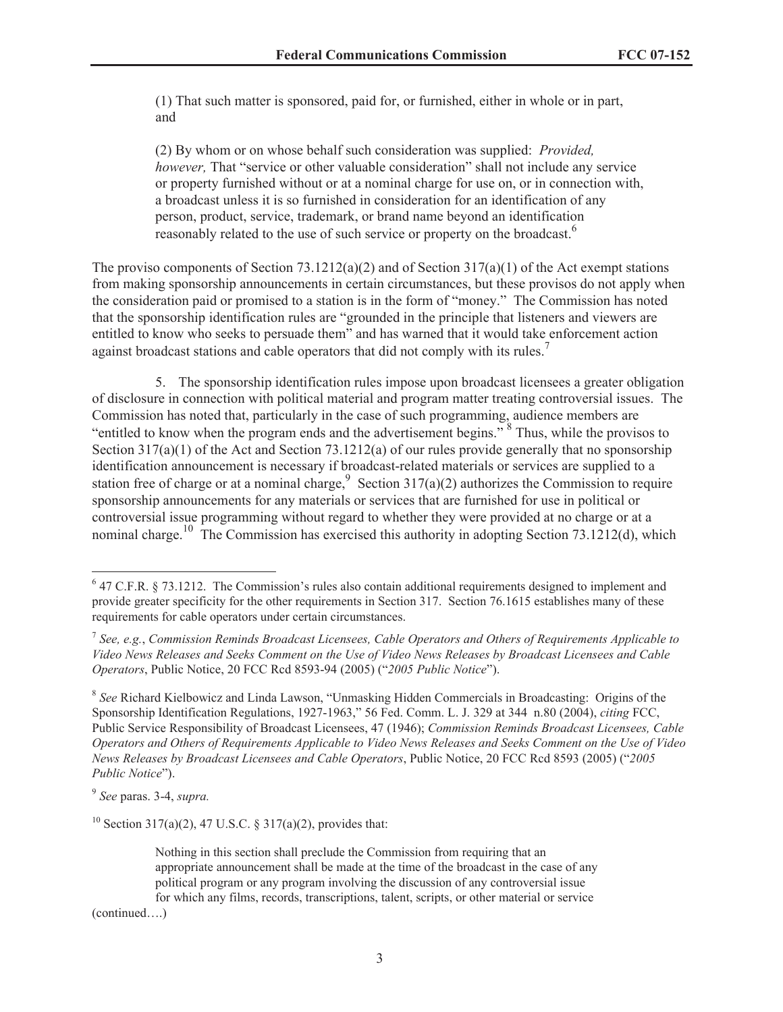(1) That such matter is sponsored, paid for, or furnished, either in whole or in part, and

(2) By whom or on whose behalf such consideration was supplied: *Provided, however,* That "service or other valuable consideration" shall not include any service or property furnished without or at a nominal charge for use on, or in connection with, a broadcast unless it is so furnished in consideration for an identification of any person, product, service, trademark, or brand name beyond an identification reasonably related to the use of such service or property on the broadcast.<sup>6</sup>

The proviso components of Section 73.1212(a)(2) and of Section 317(a)(1) of the Act exempt stations from making sponsorship announcements in certain circumstances, but these provisos do not apply when the consideration paid or promised to a station is in the form of "money." The Commission has noted that the sponsorship identification rules are "grounded in the principle that listeners and viewers are entitled to know who seeks to persuade them" and has warned that it would take enforcement action against broadcast stations and cable operators that did not comply with its rules.<sup>7</sup>

5. The sponsorship identification rules impose upon broadcast licensees a greater obligation of disclosure in connection with political material and program matter treating controversial issues. The Commission has noted that, particularly in the case of such programming, audience members are "entitled to know when the program ends and the advertisement begins."<sup>8</sup> Thus, while the provisos to Section 317(a)(1) of the Act and Section 73.1212(a) of our rules provide generally that no sponsorship identification announcement is necessary if broadcast-related materials or services are supplied to a station free of charge or at a nominal charge, Section 317(a)(2) authorizes the Commission to require sponsorship announcements for any materials or services that are furnished for use in political or controversial issue programming without regard to whether they were provided at no charge or at a nominal charge.<sup>10</sup> The Commission has exercised this authority in adopting Section 73.1212(d), which

8 *See* Richard Kielbowicz and Linda Lawson, "Unmasking Hidden Commercials in Broadcasting: Origins of the Sponsorship Identification Regulations, 1927-1963," 56 Fed. Comm. L. J. 329 at 344 n.80 (2004), *citing* FCC, Public Service Responsibility of Broadcast Licensees, 47 (1946); *Commission Reminds Broadcast Licensees, Cable Operators and Others of Requirements Applicable to Video News Releases and Seeks Comment on the Use of Video News Releases by Broadcast Licensees and Cable Operators*, Public Notice, 20 FCC Rcd 8593 (2005) ("*2005 Public Notice*").

9 *See* paras. 3-4, *supra.*

<sup>10</sup> Section 317(a)(2), 47 U.S.C. § 317(a)(2), provides that:

Nothing in this section shall preclude the Commission from requiring that an appropriate announcement shall be made at the time of the broadcast in the case of any political program or any program involving the discussion of any controversial issue for which any films, records, transcriptions, talent, scripts, or other material or service

(continued….)

<sup>&</sup>lt;sup>6</sup> 47 C.F.R. § 73.1212. The Commission's rules also contain additional requirements designed to implement and provide greater specificity for the other requirements in Section 317. Section 76.1615 establishes many of these requirements for cable operators under certain circumstances.

<sup>7</sup> *See, e.g.*, *Commission Reminds Broadcast Licensees, Cable Operators and Others of Requirements Applicable to Video News Releases and Seeks Comment on the Use of Video News Releases by Broadcast Licensees and Cable Operators*, Public Notice, 20 FCC Rcd 8593-94 (2005) ("*2005 Public Notice*").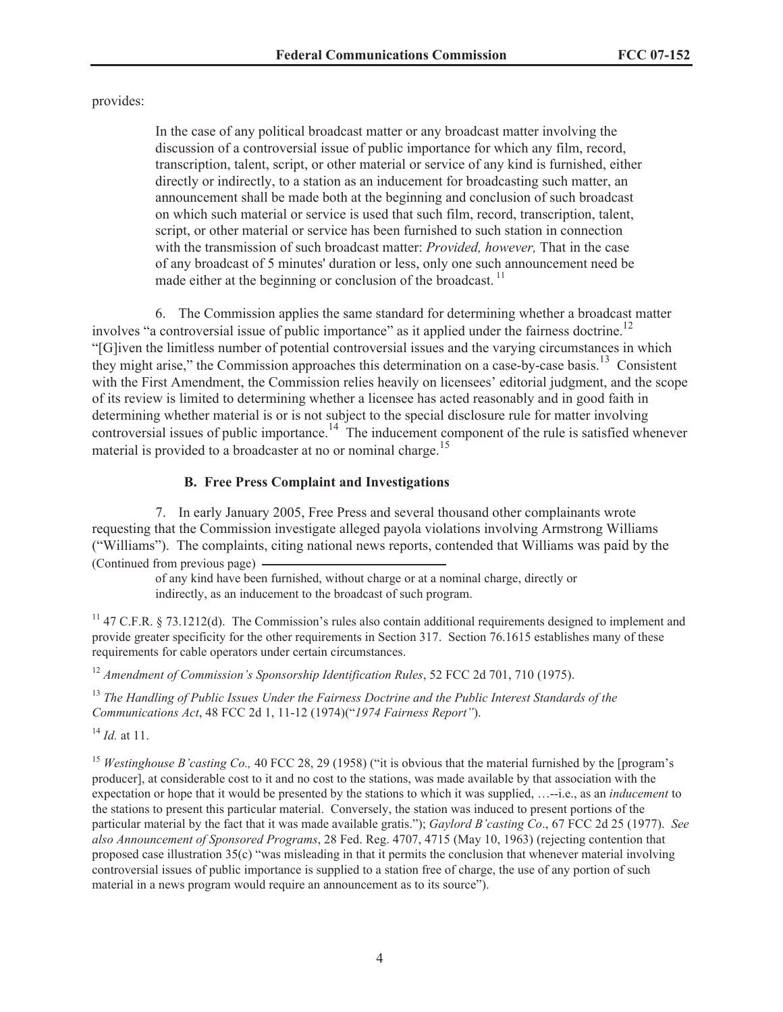provides:

In the case of any political broadcast matter or any broadcast matter involving the discussion of a controversial issue of public importance for which any film, record, transcription, talent, script, or other material or service of any kind is furnished, either directly or indirectly, to a station as an inducement for broadcasting such matter, an announcement shall be made both at the beginning and conclusion of such broadcast on which such material or service is used that such film, record, transcription, talent, script, or other material or service has been furnished to such station in connection with the transmission of such broadcast matter: *Provided, however,* That in the case of any broadcast of 5 minutes' duration or less, only one such announcement need be made either at the beginning or conclusion of the broadcast.  $\frac{11}{11}$ 

6. The Commission applies the same standard for determining whether a broadcast matter involves "a controversial issue of public importance" as it applied under the fairness doctrine.<sup>12</sup> "[G]iven the limitless number of potential controversial issues and the varying circumstances in which they might arise," the Commission approaches this determination on a case-by-case basis.<sup>13</sup> Consistent with the First Amendment, the Commission relies heavily on licensees' editorial judgment, and the scope of its review is limited to determining whether a licensee has acted reasonably and in good faith in determining whether material is or is not subject to the special disclosure rule for matter involving controversial issues of public importance.<sup>14</sup> The inducement component of the rule is satisfied whenever material is provided to a broadcaster at no or nominal charge.<sup>15</sup>

# **B. Free Press Complaint and Investigations**

7. In early January 2005, Free Press and several thousand other complainants wrote requesting that the Commission investigate alleged payola violations involving Armstrong Williams ("Williams"). The complaints, citing national news reports, contended that Williams was paid by the (Continued from previous page)

> of any kind have been furnished, without charge or at a nominal charge, directly or indirectly, as an inducement to the broadcast of such program.

<sup>11</sup> 47 C.F.R. § 73.1212(d). The Commission's rules also contain additional requirements designed to implement and provide greater specificity for the other requirements in Section 317. Section 76.1615 establishes many of these requirements for cable operators under certain circumstances.

<sup>12</sup> *Amendment of Commission's Sponsorship Identification Rules*, 52 FCC 2d 701, 710 (1975).

<sup>13</sup> *The Handling of Public Issues Under the Fairness Doctrine and the Public Interest Standards of the Communications Act*, 48 FCC 2d 1, 11-12 (1974)("*1974 Fairness Report"*).

<sup>14</sup> *Id.* at 11.

<sup>15</sup> *Westinghouse B'casting Co.,* 40 FCC 28, 29 (1958) ("it is obvious that the material furnished by the [program's producer], at considerable cost to it and no cost to the stations, was made available by that association with the expectation or hope that it would be presented by the stations to which it was supplied, …--i.e., as an *inducement* to the stations to present this particular material. Conversely, the station was induced to present portions of the particular material by the fact that it was made available gratis."); *Gaylord B'casting Co*., 67 FCC 2d 25 (1977). *See also Announcement of Sponsored Programs*, 28 Fed. Reg. 4707, 4715 (May 10, 1963) (rejecting contention that proposed case illustration  $35(c)$  "was misleading in that it permits the conclusion that whenever material involving controversial issues of public importance is supplied to a station free of charge, the use of any portion of such material in a news program would require an announcement as to its source").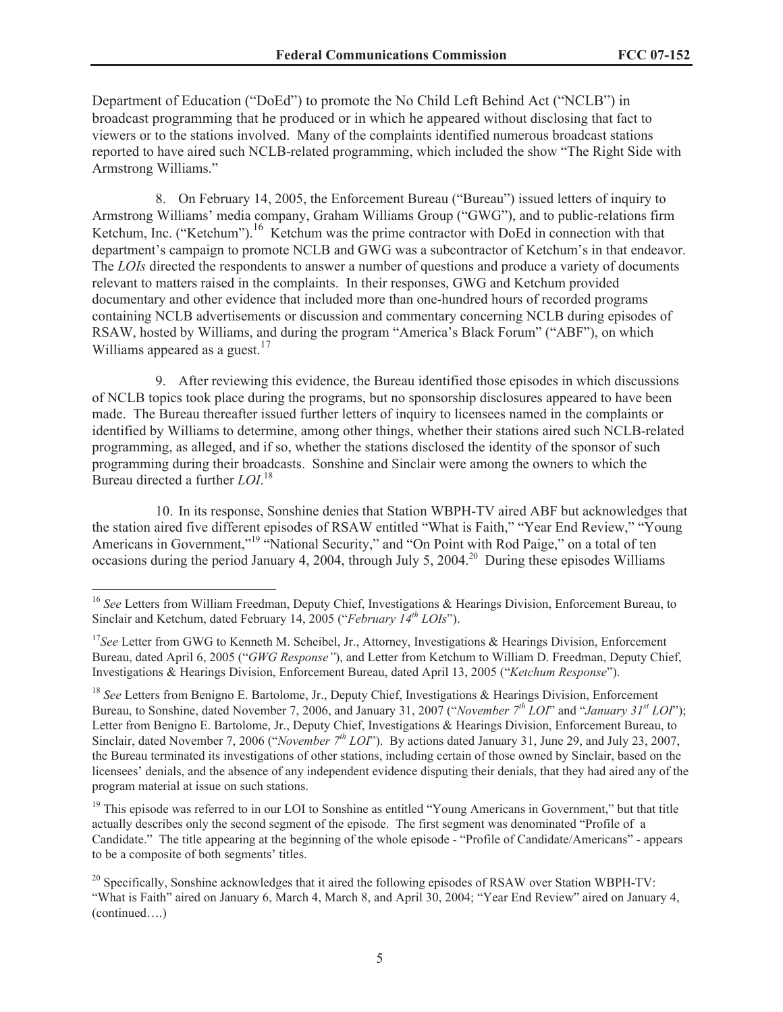Department of Education ("DoEd") to promote the No Child Left Behind Act ("NCLB") in broadcast programming that he produced or in which he appeared without disclosing that fact to viewers or to the stations involved. Many of the complaints identified numerous broadcast stations reported to have aired such NCLB-related programming, which included the show "The Right Side with Armstrong Williams."

8. On February 14, 2005, the Enforcement Bureau ("Bureau") issued letters of inquiry to Armstrong Williams' media company, Graham Williams Group ("GWG"), and to public-relations firm Ketchum, Inc. ("Ketchum").<sup>16</sup> Ketchum was the prime contractor with DoEd in connection with that department's campaign to promote NCLB and GWG was a subcontractor of Ketchum's in that endeavor. The *LOIs* directed the respondents to answer a number of questions and produce a variety of documents relevant to matters raised in the complaints. In their responses, GWG and Ketchum provided documentary and other evidence that included more than one-hundred hours of recorded programs containing NCLB advertisements or discussion and commentary concerning NCLB during episodes of RSAW, hosted by Williams, and during the program "America's Black Forum" ("ABF"), on which Williams appeared as a guest.<sup>17</sup>

9. After reviewing this evidence, the Bureau identified those episodes in which discussions of NCLB topics took place during the programs, but no sponsorship disclosures appeared to have been made. The Bureau thereafter issued further letters of inquiry to licensees named in the complaints or identified by Williams to determine, among other things, whether their stations aired such NCLB-related programming, as alleged, and if so, whether the stations disclosed the identity of the sponsor of such programming during their broadcasts. Sonshine and Sinclair were among the owners to which the Bureau directed a further *LOI*. 18

10. In its response, Sonshine denies that Station WBPH-TV aired ABF but acknowledges that the station aired five different episodes of RSAW entitled "What is Faith," "Year End Review," "Young Americans in Government,"<sup>19</sup> "National Security," and "On Point with Rod Paige," on a total of ten occasions during the period January 4, 2004, through July 5, 2004.<sup>20</sup> During these episodes Williams

<sup>&</sup>lt;sup>16</sup> See Letters from William Freedman, Deputy Chief, Investigations & Hearings Division, Enforcement Bureau, to Sinclair and Ketchum, dated February 14, 2005 ("*February 14th LOIs*").

<sup>&</sup>lt;sup>17</sup>See Letter from GWG to Kenneth M. Scheibel, Jr., Attorney, Investigations & Hearings Division, Enforcement Bureau, dated April 6, 2005 ("*GWG Response"*), and Letter from Ketchum to William D. Freedman, Deputy Chief, Investigations & Hearings Division, Enforcement Bureau, dated April 13, 2005 ("*Ketchum Response*").

<sup>&</sup>lt;sup>18</sup> See Letters from Benigno E. Bartolome, Jr., Deputy Chief, Investigations & Hearings Division, Enforcement Bureau, to Sonshine, dated November 7, 2006, and January 31, 2007 ("*November 7th LOI*" and "*January 31st LOI*"); Letter from Benigno E. Bartolome, Jr., Deputy Chief, Investigations & Hearings Division, Enforcement Bureau, to Sinclair, dated November 7, 2006 ("*November 7th LOI*"). By actions dated January 31, June 29, and July 23, 2007, the Bureau terminated its investigations of other stations, including certain of those owned by Sinclair, based on the licensees' denials, and the absence of any independent evidence disputing their denials, that they had aired any of the program material at issue on such stations.

 $19$  This episode was referred to in our LOI to Sonshine as entitled "Young Americans in Government," but that title actually describes only the second segment of the episode. The first segment was denominated "Profile of a Candidate." The title appearing at the beginning of the whole episode - "Profile of Candidate/Americans" - appears to be a composite of both segments' titles.

<sup>&</sup>lt;sup>20</sup> Specifically, Sonshine acknowledges that it aired the following episodes of RSAW over Station WBPH-TV: "What is Faith" aired on January 6, March 4, March 8, and April 30, 2004; "Year End Review" aired on January 4, (continued….)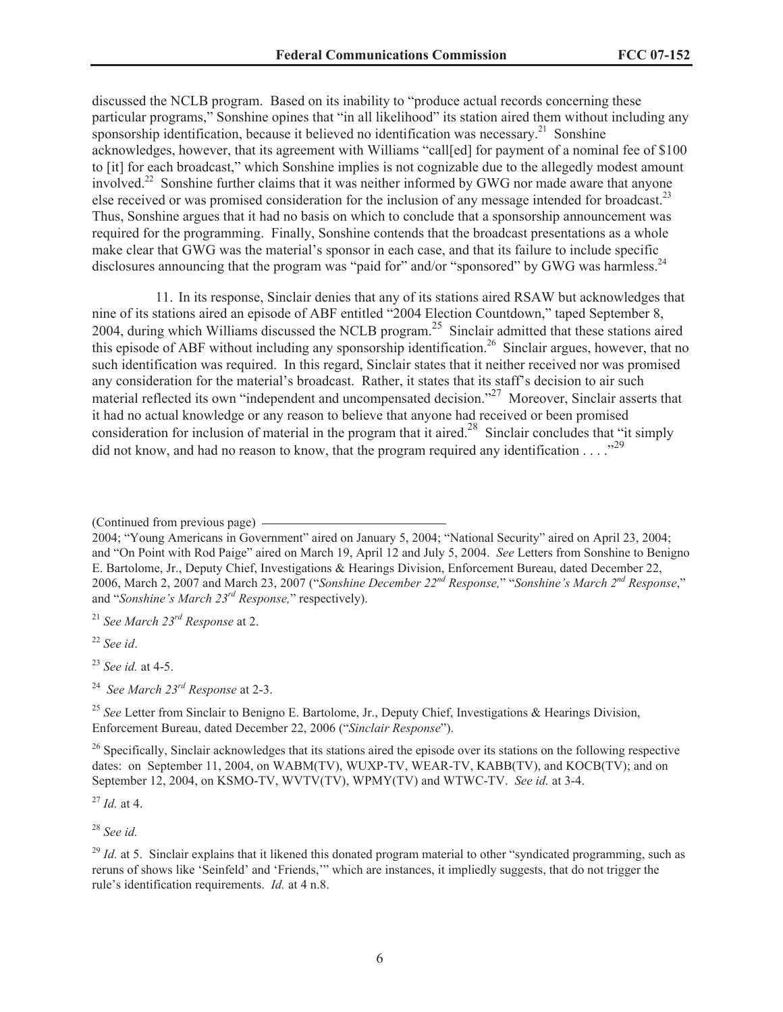discussed the NCLB program. Based on its inability to "produce actual records concerning these particular programs," Sonshine opines that "in all likelihood" its station aired them without including any sponsorship identification, because it believed no identification was necessary.<sup>21</sup> Sonshine acknowledges, however, that its agreement with Williams "call[ed] for payment of a nominal fee of \$100 to [it] for each broadcast," which Sonshine implies is not cognizable due to the allegedly modest amount involved.<sup>22</sup> Sonshine further claims that it was neither informed by GWG nor made aware that anyone else received or was promised consideration for the inclusion of any message intended for broadcast.<sup>23</sup> Thus, Sonshine argues that it had no basis on which to conclude that a sponsorship announcement was required for the programming. Finally, Sonshine contends that the broadcast presentations as a whole make clear that GWG was the material's sponsor in each case, and that its failure to include specific disclosures announcing that the program was "paid for" and/or "sponsored" by GWG was harmless.<sup>24</sup>

11. In its response, Sinclair denies that any of its stations aired RSAW but acknowledges that nine of its stations aired an episode of ABF entitled "2004 Election Countdown," taped September 8, 2004, during which Williams discussed the NCLB program.<sup>25</sup> Sinclair admitted that these stations aired this episode of ABF without including any sponsorship identification.<sup>26</sup> Sinclair argues, however, that no such identification was required. In this regard, Sinclair states that it neither received nor was promised any consideration for the material's broadcast. Rather, it states that its staff's decision to air such material reflected its own "independent and uncompensated decision."<sup>27</sup> Moreover, Sinclair asserts that it had no actual knowledge or any reason to believe that anyone had received or been promised consideration for inclusion of material in the program that it aired.<sup>28</sup> Sinclair concludes that "it simply did not know, and had no reason to know, that the program required any identification  $\ldots$ <sup>29</sup>

<sup>21</sup> *See March 23rd Response* at 2.

<sup>22</sup> *See id*.

<sup>23</sup> *See id.* at 4-5.

<sup>24</sup> *See March 23rd Response* at 2-3.

<sup>25</sup> See Letter from Sinclair to Benigno E. Bartolome, Jr., Deputy Chief, Investigations & Hearings Division, Enforcement Bureau, dated December 22, 2006 ("*Sinclair Response*").

<sup>26</sup> Specifically, Sinclair acknowledges that its stations aired the episode over its stations on the following respective dates: on September 11, 2004, on WABM(TV), WUXP-TV, WEAR-TV, KABB(TV), and KOCB(TV); and on September 12, 2004, on KSMO-TV, WVTV(TV), WPMY(TV) and WTWC-TV. *See id.* at 3-4.

<sup>27</sup> *Id.* at 4.

<sup>28</sup> *See id.*

<sup>29</sup> *Id.* at 5. Sinclair explains that it likened this donated program material to other "syndicated programming, such as reruns of shows like 'Seinfeld' and 'Friends,'" which are instances, it impliedly suggests, that do not trigger the rule's identification requirements. *Id.* at 4 n.8.

<sup>(</sup>Continued from previous page)

<sup>2004; &</sup>quot;Young Americans in Government" aired on January 5, 2004; "National Security" aired on April 23, 2004; and "On Point with Rod Paige" aired on March 19, April 12 and July 5, 2004. *See* Letters from Sonshine to Benigno E. Bartolome, Jr., Deputy Chief, Investigations & Hearings Division, Enforcement Bureau, dated December 22, 2006, March 2, 2007 and March 23, 2007 ("*Sonshine December 22nd Response,*" "*Sonshine's March 2nd Response*," and "*Sonshine's March 23rd Response,*" respectively).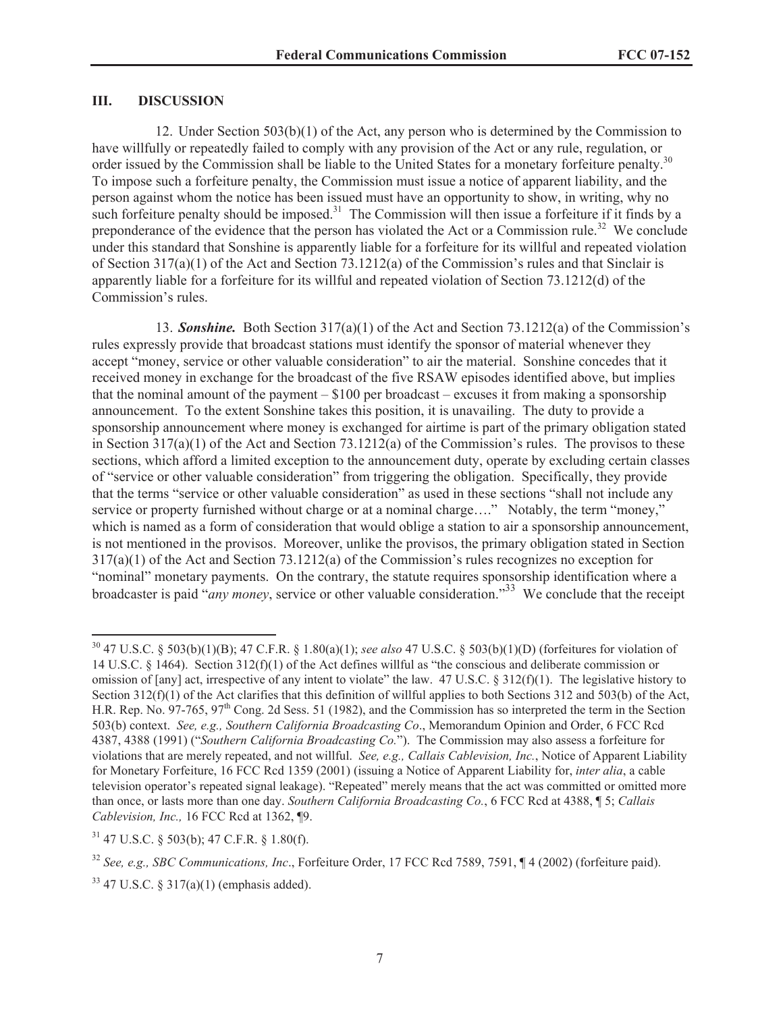## **III. DISCUSSION**

12. Under Section 503(b)(1) of the Act, any person who is determined by the Commission to have willfully or repeatedly failed to comply with any provision of the Act or any rule, regulation, or order issued by the Commission shall be liable to the United States for a monetary forfeiture penalty.<sup>30</sup> To impose such a forfeiture penalty, the Commission must issue a notice of apparent liability, and the person against whom the notice has been issued must have an opportunity to show, in writing, why no such forfeiture penalty should be imposed.<sup>31</sup> The Commission will then issue a forfeiture if it finds by a preponderance of the evidence that the person has violated the Act or a Commission rule.<sup>32</sup> We conclude under this standard that Sonshine is apparently liable for a forfeiture for its willful and repeated violation of Section  $317(a)(1)$  of the Act and Section  $73.1212(a)$  of the Commission's rules and that Sinclair is apparently liable for a forfeiture for its willful and repeated violation of Section 73.1212(d) of the Commission's rules.

13. *Sonshine.* Both Section 317(a)(1) of the Act and Section 73.1212(a) of the Commission's rules expressly provide that broadcast stations must identify the sponsor of material whenever they accept "money, service or other valuable consideration" to air the material. Sonshine concedes that it received money in exchange for the broadcast of the five RSAW episodes identified above, but implies that the nominal amount of the payment – \$100 per broadcast – excuses it from making a sponsorship announcement. To the extent Sonshine takes this position, it is unavailing. The duty to provide a sponsorship announcement where money is exchanged for airtime is part of the primary obligation stated in Section  $317(a)(1)$  of the Act and Section  $73.1212(a)$  of the Commission's rules. The provisos to these sections, which afford a limited exception to the announcement duty, operate by excluding certain classes of "service or other valuable consideration" from triggering the obligation. Specifically, they provide that the terms "service or other valuable consideration" as used in these sections "shall not include any service or property furnished without charge or at a nominal charge…." Notably, the term "money," which is named as a form of consideration that would oblige a station to air a sponsorship announcement, is not mentioned in the provisos. Moreover, unlike the provisos, the primary obligation stated in Section  $317(a)(1)$  of the Act and Section 73.1212(a) of the Commission's rules recognizes no exception for "nominal" monetary payments. On the contrary, the statute requires sponsorship identification where a broadcaster is paid "*any money*, service or other valuable consideration."<sup>33</sup> We conclude that the receipt

<sup>30</sup> 47 U.S.C. § 503(b)(1)(B); 47 C.F.R. § 1.80(a)(1); *see also* 47 U.S.C. § 503(b)(1)(D) (forfeitures for violation of 14 U.S.C. § 1464). Section 312(f)(1) of the Act defines willful as "the conscious and deliberate commission or omission of [any] act, irrespective of any intent to violate" the law.  $47 \text{ U.S.C.} \text{ } \text{\$} 312 \text{ (f)}(1)$ . The legislative history to Section 312(f)(1) of the Act clarifies that this definition of willful applies to both Sections 312 and 503(b) of the Act, H.R. Rep. No. 97-765, 97<sup>th</sup> Cong. 2d Sess. 51 (1982), and the Commission has so interpreted the term in the Section 503(b) context. *See, e.g., Southern California Broadcasting Co*., Memorandum Opinion and Order, 6 FCC Rcd 4387, 4388 (1991) ("*Southern California Broadcasting Co.*"). The Commission may also assess a forfeiture for violations that are merely repeated, and not willful. *See, e.g., Callais Cablevision, Inc.*, Notice of Apparent Liability for Monetary Forfeiture, 16 FCC Rcd 1359 (2001) (issuing a Notice of Apparent Liability for, *inter alia*, a cable television operator's repeated signal leakage). "Repeated" merely means that the act was committed or omitted more than once, or lasts more than one day. *Southern California Broadcasting Co.*, 6 FCC Rcd at 4388, ¶ 5; *Callais Cablevision, Inc.,* 16 FCC Rcd at 1362, ¶9.

<sup>31</sup> 47 U.S.C. § 503(b); 47 C.F.R. § 1.80(f).

<sup>32</sup> *See, e.g., SBC Communications, Inc*., Forfeiture Order, 17 FCC Rcd 7589, 7591, ¶ 4 (2002) (forfeiture paid).

 $33$  47 U.S.C. § 317(a)(1) (emphasis added).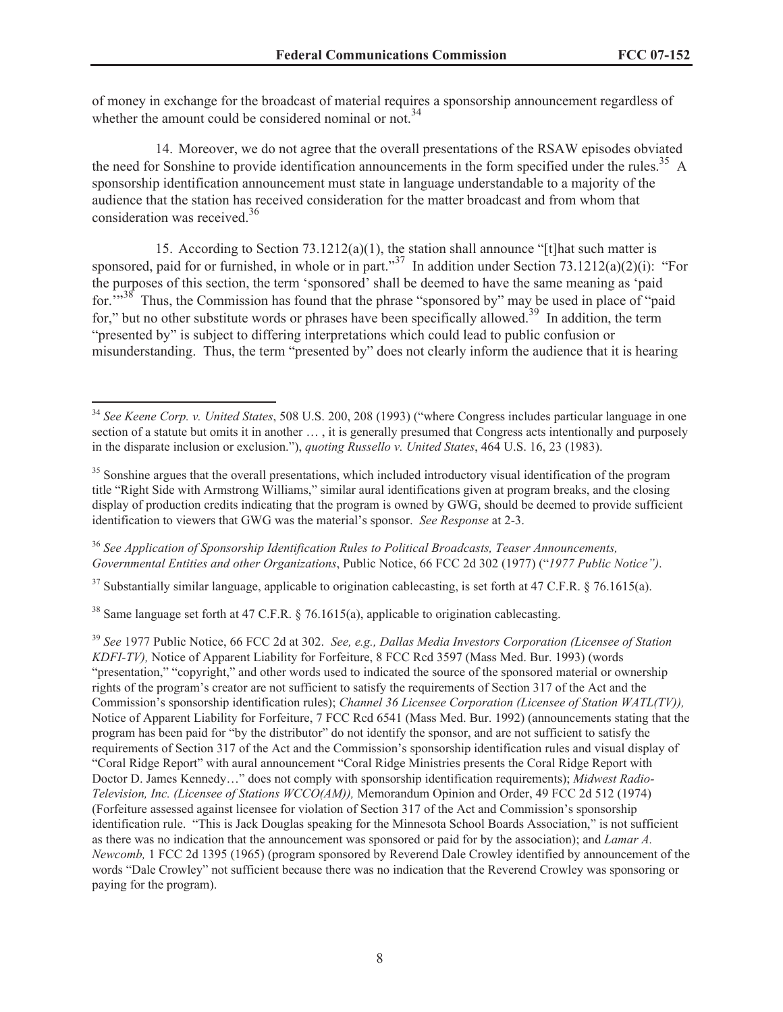of money in exchange for the broadcast of material requires a sponsorship announcement regardless of whether the amount could be considered nominal or not.<sup>34</sup>

14. Moreover, we do not agree that the overall presentations of the RSAW episodes obviated the need for Sonshine to provide identification announcements in the form specified under the rules.<sup>35</sup> A sponsorship identification announcement must state in language understandable to a majority of the audience that the station has received consideration for the matter broadcast and from whom that consideration was received.<sup>36</sup>

15. According to Section 73.1212(a)(1), the station shall announce "[t]hat such matter is sponsored, paid for or furnished, in whole or in part."<sup>37</sup> In addition under Section 73.1212(a)(2)(i): "For the purposes of this section, the term 'sponsored' shall be deemed to have the same meaning as 'paid for.<sup>"38</sup> Thus, the Commission has found that the phrase "sponsored by" may be used in place of "paid" for," but no other substitute words or phrases have been specifically allowed.<sup>39</sup> In addition, the term "presented by" is subject to differing interpretations which could lead to public confusion or misunderstanding. Thus, the term "presented by" does not clearly inform the audience that it is hearing

<sup>36</sup> *See Application of Sponsorship Identification Rules to Political Broadcasts, Teaser Announcements, Governmental Entities and other Organizations*, Public Notice, 66 FCC 2d 302 (1977) ("*1977 Public Notice")*.

 $37$  Substantially similar language, applicable to origination cablecasting, is set forth at 47 C.F.R. § 76.1615(a).

<sup>38</sup> Same language set forth at 47 C.F.R.  $\frac{5}{6}$  76.1615(a), applicable to origination cablecasting.

<sup>39</sup> *See* 1977 Public Notice, 66 FCC 2d at 302. *See, e.g., Dallas Media Investors Corporation (Licensee of Station KDFI-TV),* Notice of Apparent Liability for Forfeiture, 8 FCC Rcd 3597 (Mass Med. Bur. 1993) (words "presentation," "copyright," and other words used to indicated the source of the sponsored material or ownership rights of the program's creator are not sufficient to satisfy the requirements of Section 317 of the Act and the Commission's sponsorship identification rules); *Channel 36 Licensee Corporation (Licensee of Station WATL(TV)),*  Notice of Apparent Liability for Forfeiture, 7 FCC Rcd 6541 (Mass Med. Bur. 1992) (announcements stating that the program has been paid for "by the distributor" do not identify the sponsor, and are not sufficient to satisfy the requirements of Section 317 of the Act and the Commission's sponsorship identification rules and visual display of "Coral Ridge Report" with aural announcement "Coral Ridge Ministries presents the Coral Ridge Report with Doctor D. James Kennedy…" does not comply with sponsorship identification requirements); *Midwest Radio-Television, Inc. (Licensee of Stations WCCO(AM)),* Memorandum Opinion and Order, 49 FCC 2d 512 (1974) (Forfeiture assessed against licensee for violation of Section 317 of the Act and Commission's sponsorship identification rule. "This is Jack Douglas speaking for the Minnesota School Boards Association," is not sufficient as there was no indication that the announcement was sponsored or paid for by the association); and *Lamar A. Newcomb,* 1 FCC 2d 1395 (1965) (program sponsored by Reverend Dale Crowley identified by announcement of the words "Dale Crowley" not sufficient because there was no indication that the Reverend Crowley was sponsoring or paying for the program).

<sup>34</sup> *See Keene Corp. v. United States*, 508 U.S. 200, 208 (1993) ("where Congress includes particular language in one section of a statute but omits it in another … , it is generally presumed that Congress acts intentionally and purposely in the disparate inclusion or exclusion."), *quoting Russello v. United States*, 464 U.S. 16, 23 (1983).

<sup>&</sup>lt;sup>35</sup> Sonshine argues that the overall presentations, which included introductory visual identification of the program title "Right Side with Armstrong Williams," similar aural identifications given at program breaks, and the closing display of production credits indicating that the program is owned by GWG, should be deemed to provide sufficient identification to viewers that GWG was the material's sponsor. *See Response* at 2-3.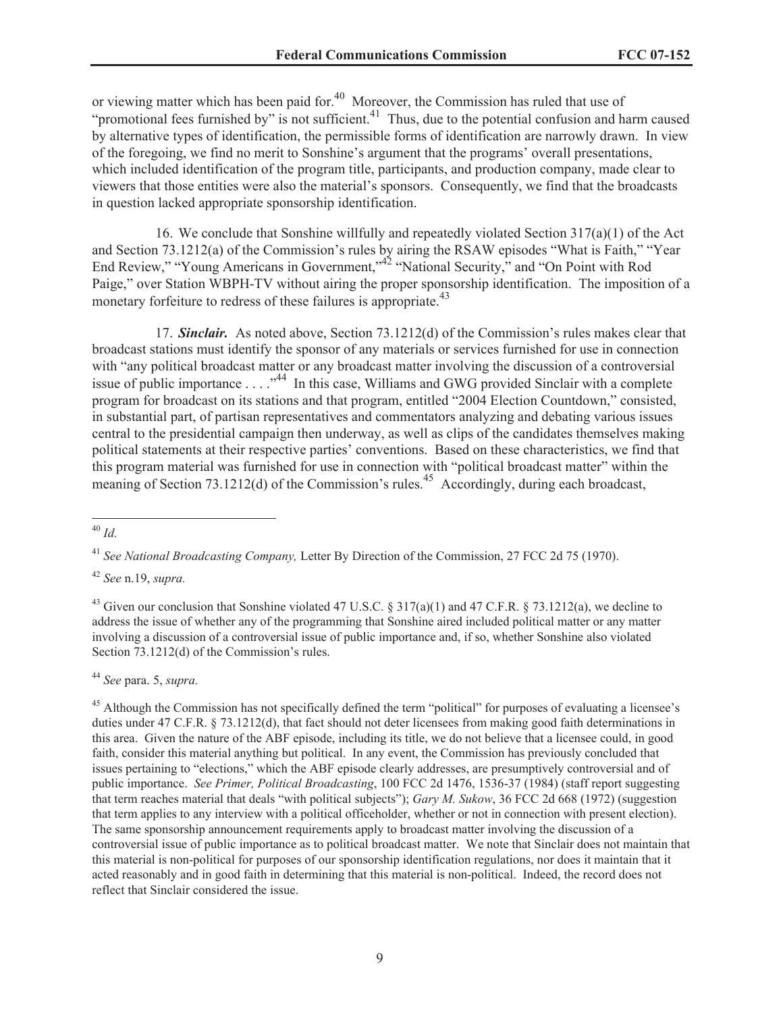or viewing matter which has been paid for.<sup>40</sup> Moreover, the Commission has ruled that use of "promotional fees furnished by" is not sufficient. $^{41}$  Thus, due to the potential confusion and harm caused by alternative types of identification, the permissible forms of identification are narrowly drawn. In view of the foregoing, we find no merit to Sonshine's argument that the programs' overall presentations, which included identification of the program title, participants, and production company, made clear to viewers that those entities were also the material's sponsors. Consequently, we find that the broadcasts in question lacked appropriate sponsorship identification.

16. We conclude that Sonshine willfully and repeatedly violated Section  $317(a)(1)$  of the Act and Section 73.1212(a) of the Commission's rules by airing the RSAW episodes "What is Faith," "Year End Review," "Young Americans in Government,"<sup>42</sup> "National Security," and "On Point with Rod Paige," over Station WBPH-TV without airing the proper sponsorship identification. The imposition of a monetary forfeiture to redress of these failures is appropriate.<sup>43</sup>

17. *Sinclair.* As noted above, Section 73.1212(d) of the Commission's rules makes clear that broadcast stations must identify the sponsor of any materials or services furnished for use in connection with "any political broadcast matter or any broadcast matter involving the discussion of a controversial issue of public importance  $\dots$  . ...<sup>44</sup> In this case, Williams and GWG provided Sinclair with a complete program for broadcast on its stations and that program, entitled "2004 Election Countdown," consisted, in substantial part, of partisan representatives and commentators analyzing and debating various issues central to the presidential campaign then underway, as well as clips of the candidates themselves making political statements at their respective parties' conventions. Based on these characteristics, we find that this program material was furnished for use in connection with "political broadcast matter" within the meaning of Section 73.1212(d) of the Commission's rules.<sup>45</sup> Accordingly, during each broadcast,

<sup>42</sup> *See* n.19, *supra.*

<sup>44</sup> *See* para. 5, *supra.*

<sup>45</sup> Although the Commission has not specifically defined the term "political" for purposes of evaluating a licensee's duties under 47 C.F.R. § 73.1212(d), that fact should not deter licensees from making good faith determinations in this area. Given the nature of the ABF episode, including its title, we do not believe that a licensee could, in good faith, consider this material anything but political. In any event, the Commission has previously concluded that issues pertaining to "elections," which the ABF episode clearly addresses, are presumptively controversial and of public importance. *See Primer, Political Broadcasting*, 100 FCC 2d 1476, 1536-37 (1984) (staff report suggesting that term reaches material that deals "with political subjects"); *Gary M. Sukow*, 36 FCC 2d 668 (1972) (suggestion that term applies to any interview with a political officeholder, whether or not in connection with present election). The same sponsorship announcement requirements apply to broadcast matter involving the discussion of a controversial issue of public importance as to political broadcast matter. We note that Sinclair does not maintain that this material is non-political for purposes of our sponsorship identification regulations, nor does it maintain that it acted reasonably and in good faith in determining that this material is non-political. Indeed, the record does not reflect that Sinclair considered the issue.

<sup>40</sup> *Id.*

<sup>41</sup> *See National Broadcasting Company,* Letter By Direction of the Commission, 27 FCC 2d 75 (1970).

<sup>&</sup>lt;sup>43</sup> Given our conclusion that Sonshine violated 47 U.S.C. § 317(a)(1) and 47 C.F.R. § 73.1212(a), we decline to address the issue of whether any of the programming that Sonshine aired included political matter or any matter involving a discussion of a controversial issue of public importance and, if so, whether Sonshine also violated Section 73.1212(d) of the Commission's rules.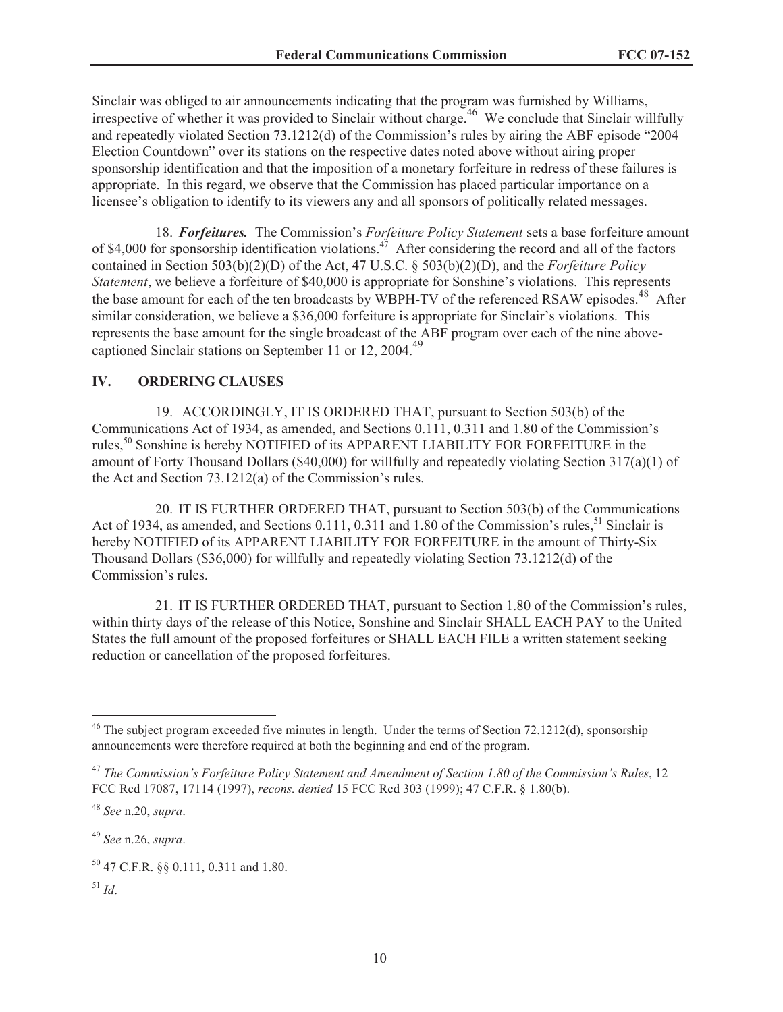Sinclair was obliged to air announcements indicating that the program was furnished by Williams, irrespective of whether it was provided to Sinclair without charge. <sup>46</sup> We conclude that Sinclair willfully and repeatedly violated Section 73.1212(d) of the Commission's rules by airing the ABF episode "2004 Election Countdown" over its stations on the respective dates noted above without airing proper sponsorship identification and that the imposition of a monetary forfeiture in redress of these failures is appropriate. In this regard, we observe that the Commission has placed particular importance on a licensee's obligation to identify to its viewers any and all sponsors of politically related messages.

18. *Forfeitures.* The Commission's *Forfeiture Policy Statement* sets a base forfeiture amount of \$4,000 for sponsorship identification violations.<sup>47</sup> After considering the record and all of the factors contained in Section 503(b)(2)(D) of the Act, 47 U.S.C. § 503(b)(2)(D), and the *Forfeiture Policy Statement*, we believe a forfeiture of \$40,000 is appropriate for Sonshine's violations. This represents the base amount for each of the ten broadcasts by WBPH-TV of the referenced RSAW episodes.<sup>48</sup> After similar consideration, we believe a \$36,000 forfeiture is appropriate for Sinclair's violations. This represents the base amount for the single broadcast of the ABF program over each of the nine abovecaptioned Sinclair stations on September 11 or 12, 2004.<sup>49</sup>

#### **IV. ORDERING CLAUSES**

19. ACCORDINGLY, IT IS ORDERED THAT, pursuant to Section 503(b) of the Communications Act of 1934, as amended, and Sections 0.111, 0.311 and 1.80 of the Commission's rules,<sup>50</sup> Sonshine is hereby NOTIFIED of its APPARENT LIABILITY FOR FORFEITURE in the amount of Forty Thousand Dollars (\$40,000) for willfully and repeatedly violating Section 317(a)(1) of the Act and Section 73.1212(a) of the Commission's rules.

20. IT IS FURTHER ORDERED THAT, pursuant to Section 503(b) of the Communications Act of 1934, as amended, and Sections  $0.111$ ,  $0.311$  and  $1.80$  of the Commission's rules,<sup>51</sup> Sinclair is hereby NOTIFIED of its APPARENT LIABILITY FOR FORFEITURE in the amount of Thirty-Six Thousand Dollars (\$36,000) for willfully and repeatedly violating Section 73.1212(d) of the Commission's rules.

21. IT IS FURTHER ORDERED THAT, pursuant to Section 1.80 of the Commission's rules, within thirty days of the release of this Notice, Sonshine and Sinclair SHALL EACH PAY to the United States the full amount of the proposed forfeitures or SHALL EACH FILE a written statement seeking reduction or cancellation of the proposed forfeitures.

<sup>49</sup> *See* n.26, *supra*.

 $^{51}$  *Id.* 

<sup>&</sup>lt;sup>46</sup> The subject program exceeded five minutes in length. Under the terms of Section 72.1212(d), sponsorship announcements were therefore required at both the beginning and end of the program.

<sup>47</sup> *The Commission's Forfeiture Policy Statement and Amendment of Section 1.80 of the Commission's Rules*, 12 FCC Rcd 17087, 17114 (1997), *recons. denied* 15 FCC Rcd 303 (1999); 47 C.F.R. § 1.80(b).

<sup>48</sup> *See* n.20, *supra*.

<sup>50</sup> 47 C.F.R. §§ 0.111, 0.311 and 1.80.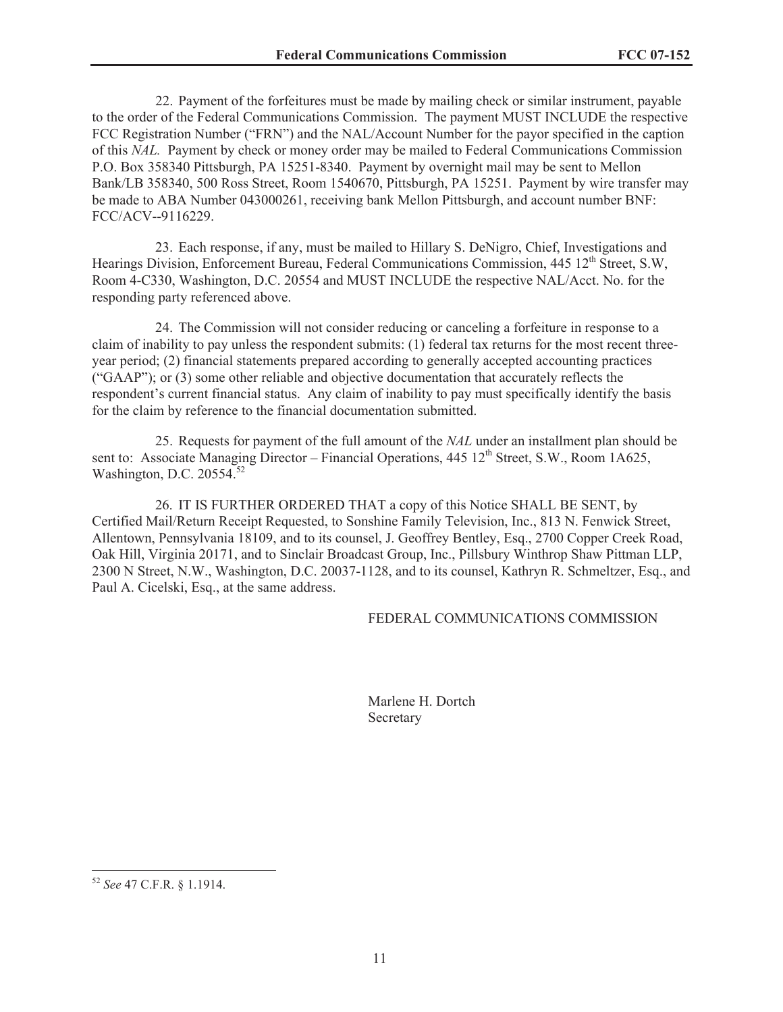22. Payment of the forfeitures must be made by mailing check or similar instrument, payable to the order of the Federal Communications Commission. The payment MUST INCLUDE the respective FCC Registration Number ("FRN") and the NAL/Account Number for the payor specified in the caption of this *NAL.* Payment by check or money order may be mailed to Federal Communications Commission P.O. Box 358340 Pittsburgh, PA 15251-8340. Payment by overnight mail may be sent to Mellon Bank/LB 358340, 500 Ross Street, Room 1540670, Pittsburgh, PA 15251. Payment by wire transfer may be made to ABA Number 043000261, receiving bank Mellon Pittsburgh, and account number BNF: FCC/ACV--9116229.

23. Each response, if any, must be mailed to Hillary S. DeNigro, Chief, Investigations and Hearings Division, Enforcement Bureau, Federal Communications Commission, 445 12<sup>th</sup> Street, S.W, Room 4-C330, Washington, D.C. 20554 and MUST INCLUDE the respective NAL/Acct. No. for the responding party referenced above.

24. The Commission will not consider reducing or canceling a forfeiture in response to a claim of inability to pay unless the respondent submits: (1) federal tax returns for the most recent threeyear period; (2) financial statements prepared according to generally accepted accounting practices ("GAAP"); or (3) some other reliable and objective documentation that accurately reflects the respondent's current financial status. Any claim of inability to pay must specifically identify the basis for the claim by reference to the financial documentation submitted.

25. Requests for payment of the full amount of the *NAL* under an installment plan should be sent to: Associate Managing Director – Financial Operations,  $445 \frac{12^{th}}{3}$  Street, S.W., Room 1A625, Washington, D.C. 20554.<sup>52</sup>

26. IT IS FURTHER ORDERED THAT a copy of this Notice SHALL BE SENT, by Certified Mail/Return Receipt Requested, to Sonshine Family Television, Inc., 813 N. Fenwick Street, Allentown, Pennsylvania 18109, and to its counsel, J. Geoffrey Bentley, Esq., 2700 Copper Creek Road, Oak Hill, Virginia 20171, and to Sinclair Broadcast Group, Inc., Pillsbury Winthrop Shaw Pittman LLP, 2300 N Street, N.W., Washington, D.C. 20037-1128, and to its counsel, Kathryn R. Schmeltzer, Esq., and Paul A. Cicelski, Esq., at the same address.

### FEDERAL COMMUNICATIONS COMMISSION

Marlene H. Dortch Secretary

<sup>52</sup> *See* 47 C.F.R. § 1.1914.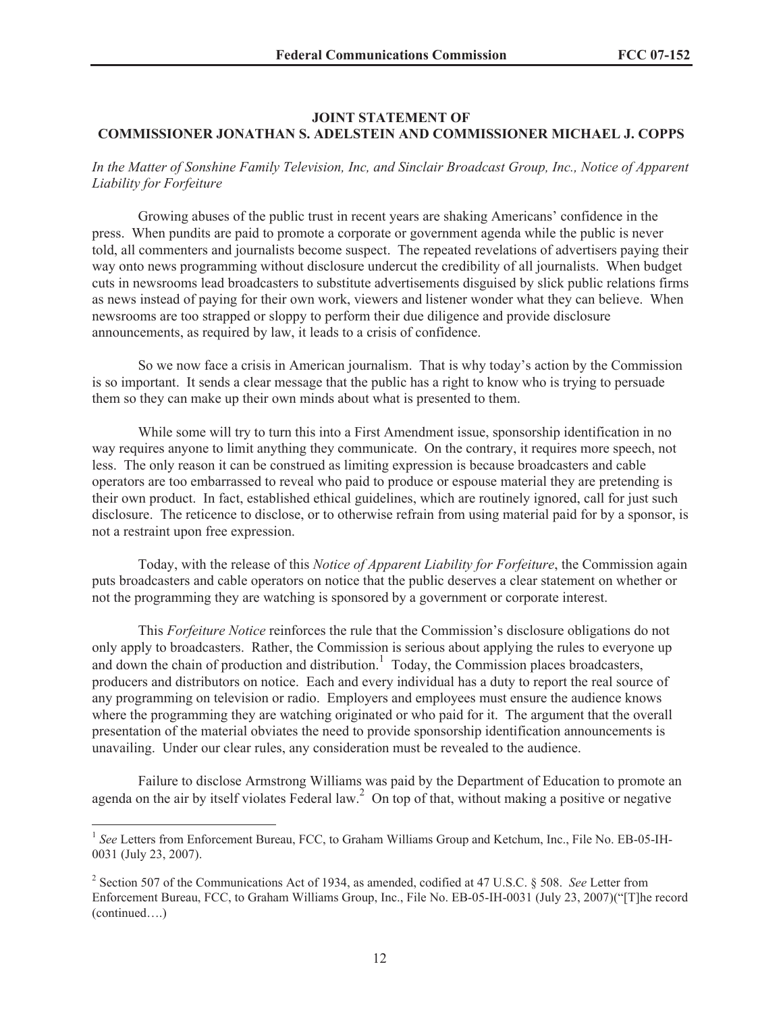#### **JOINT STATEMENT OF COMMISSIONER JONATHAN S. ADELSTEIN AND COMMISSIONER MICHAEL J. COPPS**

# *In the Matter of Sonshine Family Television, Inc, and Sinclair Broadcast Group, Inc., Notice of Apparent Liability for Forfeiture*

Growing abuses of the public trust in recent years are shaking Americans' confidence in the press. When pundits are paid to promote a corporate or government agenda while the public is never told, all commenters and journalists become suspect. The repeated revelations of advertisers paying their way onto news programming without disclosure undercut the credibility of all journalists. When budget cuts in newsrooms lead broadcasters to substitute advertisements disguised by slick public relations firms as news instead of paying for their own work, viewers and listener wonder what they can believe. When newsrooms are too strapped or sloppy to perform their due diligence and provide disclosure announcements, as required by law, it leads to a crisis of confidence.

So we now face a crisis in American journalism. That is why today's action by the Commission is so important. It sends a clear message that the public has a right to know who is trying to persuade them so they can make up their own minds about what is presented to them.

While some will try to turn this into a First Amendment issue, sponsorship identification in no way requires anyone to limit anything they communicate. On the contrary, it requires more speech, not less. The only reason it can be construed as limiting expression is because broadcasters and cable operators are too embarrassed to reveal who paid to produce or espouse material they are pretending is their own product. In fact, established ethical guidelines, which are routinely ignored, call for just such disclosure. The reticence to disclose, or to otherwise refrain from using material paid for by a sponsor, is not a restraint upon free expression.

Today, with the release of this *Notice of Apparent Liability for Forfeiture*, the Commission again puts broadcasters and cable operators on notice that the public deserves a clear statement on whether or not the programming they are watching is sponsored by a government or corporate interest.

This *Forfeiture Notice* reinforces the rule that the Commission's disclosure obligations do not only apply to broadcasters. Rather, the Commission is serious about applying the rules to everyone up and down the chain of production and distribution.<sup>1</sup> Today, the Commission places broadcasters, producers and distributors on notice. Each and every individual has a duty to report the real source of any programming on television or radio. Employers and employees must ensure the audience knows where the programming they are watching originated or who paid for it. The argument that the overall presentation of the material obviates the need to provide sponsorship identification announcements is unavailing. Under our clear rules, any consideration must be revealed to the audience.

Failure to disclose Armstrong Williams was paid by the Department of Education to promote an agenda on the air by itself violates Federal law.<sup>2</sup> On top of that, without making a positive or negative

<sup>&</sup>lt;sup>1</sup> See Letters from Enforcement Bureau, FCC, to Graham Williams Group and Ketchum, Inc., File No. EB-05-IH-0031 (July 23, 2007).

<sup>2</sup> Section 507 of the Communications Act of 1934, as amended, codified at 47 U.S.C. § 508. *See* Letter from Enforcement Bureau, FCC, to Graham Williams Group, Inc., File No. EB-05-IH-0031 (July 23, 2007)("[T]he record (continued….)